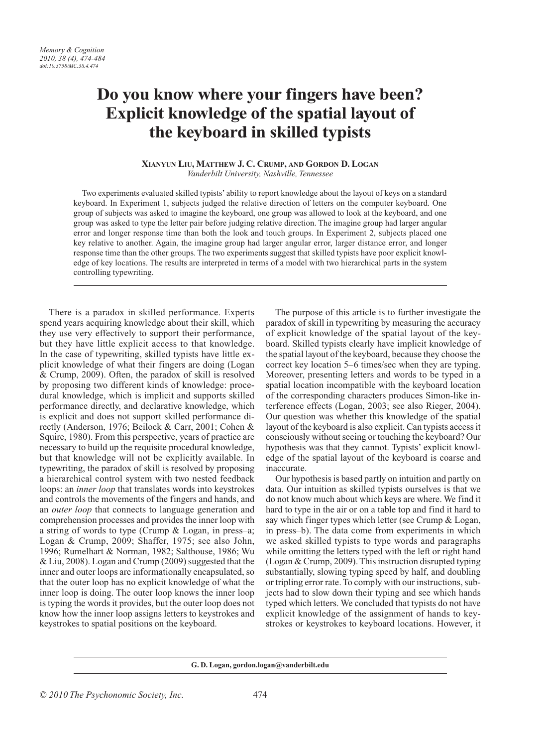# **Do you know where your fingers have been? Explicit knowledge of the spatial layout of the keyboard in skilled typists**

# **Xianyun Liu, Matthew J. C. Crump, and Gordon D. Logan** *Vanderbilt University, Nashville, Tennessee*

Two experiments evaluated skilled typists' ability to report knowledge about the layout of keys on a standard keyboard. In Experiment 1, subjects judged the relative direction of letters on the computer keyboard. One group of subjects was asked to imagine the keyboard, one group was allowed to look at the keyboard, and one group was asked to type the letter pair before judging relative direction. The imagine group had larger angular error and longer response time than both the look and touch groups. In Experiment 2, subjects placed one key relative to another. Again, the imagine group had larger angular error, larger distance error, and longer response time than the other groups. The two experiments suggest that skilled typists have poor explicit knowledge of key locations. The results are interpreted in terms of a model with two hierarchical parts in the system controlling typewriting.

There is a paradox in skilled performance. Experts spend years acquiring knowledge about their skill, which they use very effectively to support their performance, but they have little explicit access to that knowledge. In the case of typewriting, skilled typists have little explicit knowledge of what their fingers are doing (Logan & Crump, 2009). Often, the paradox of skill is resolved by proposing two different kinds of knowledge: procedural knowledge, which is implicit and supports skilled performance directly, and declarative knowledge, which is explicit and does not support skilled performance directly (Anderson, 1976; Beilock & Carr, 2001; Cohen & Squire, 1980). From this perspective, years of practice are necessary to build up the requisite procedural knowledge, but that knowledge will not be explicitly available. In typewriting, the paradox of skill is resolved by proposing a hierarchical control system with two nested feedback loops: an *inner loop* that translates words into keystrokes and controls the movements of the fingers and hands, and an *outer loop* that connects to language generation and comprehension processes and provides the inner loop with a string of words to type (Crump & Logan, in press–a; Logan & Crump, 2009; Shaffer, 1975; see also John, 1996; Rumelhart & Norman, 1982; Salthouse, 1986; Wu & Liu, 2008). Logan and Crump (2009) suggested that the inner and outer loops are informationally encapsulated, so that the outer loop has no explicit knowledge of what the inner loop is doing. The outer loop knows the inner loop is typing the words it provides, but the outer loop does not know how the inner loop assigns letters to keystrokes and keystrokes to spatial positions on the keyboard.

The purpose of this article is to further investigate the paradox of skill in typewriting by measuring the accuracy of explicit knowledge of the spatial layout of the keyboard. Skilled typists clearly have implicit knowledge of the spatial layout of the keyboard, because they choose the correct key location 5–6 times/sec when they are typing. Moreover, presenting letters and words to be typed in a spatial location incompatible with the keyboard location of the corresponding characters produces Simon-like interference effects (Logan, 2003; see also Rieger, 2004). Our question was whether this knowledge of the spatial layout of the keyboard is also explicit. Can typists access it consciously without seeing or touching the keyboard? Our hypothesis was that they cannot. Typists' explicit knowledge of the spatial layout of the keyboard is coarse and inaccurate.

Our hypothesis is based partly on intuition and partly on data. Our intuition as skilled typists ourselves is that we do not know much about which keys are where. We find it hard to type in the air or on a table top and find it hard to say which finger types which letter (see Crump & Logan, in press–b). The data come from experiments in which we asked skilled typists to type words and paragraphs while omitting the letters typed with the left or right hand (Logan & Crump, 2009). This instruction disrupted typing substantially, slowing typing speed by half, and doubling or tripling error rate. To comply with our instructions, subjects had to slow down their typing and see which hands typed which letters. We concluded that typists do not have explicit knowledge of the assignment of hands to keystrokes or keystrokes to keyboard locations. However, it

**G. D. Logan, gordon.logan@vanderbilt.edu**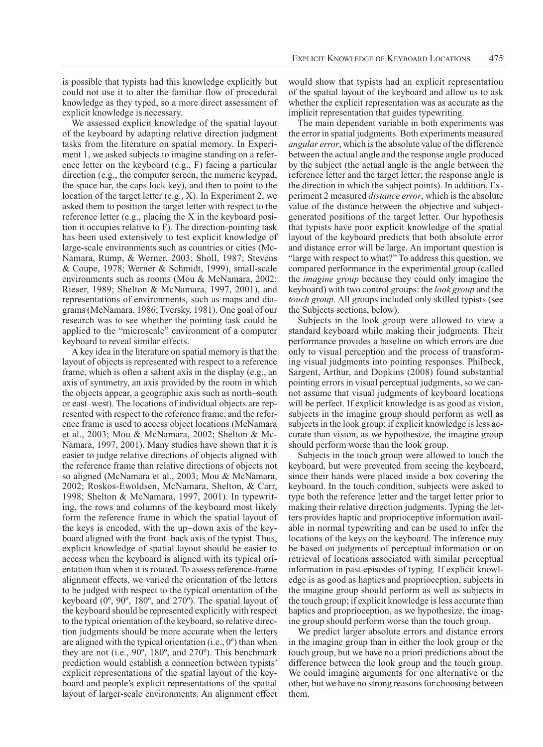is possible that typists had this knowledge explicitly but could not use it to alter the familiar flow of procedural knowledge as they typed, so a more direct assessment of explicit knowledge is necessary.

We assessed explicit knowledge of the spatial layout of the keyboard by adapting relative direction judgment tasks from the literature on spatial memory. In Experiment 1, we asked subjects to imagine standing on a reference letter on the keyboard (e.g., F) facing a particular direction (e.g., the computer screen, the numeric keypad, the space bar, the caps lock key), and then to point to the location of the target letter (e.g., X). In Experiment 2, we asked them to position the target letter with respect to the reference letter (e.g., placing the X in the keyboard position it occupies relative to F). The direction-pointing task has been used extensively to test explicit knowledge of large-scale environments such as countries or cities (Mc-Namara, Rump, & Werner, 2003; Sholl, 1987; Stevens & Coupe, 1978; Werner & Schmidt, 1999), small-scale environments such as rooms (Mou & McNamara, 2002; Rieser, 1989; Shelton & McNamara, 1997, 2001), and representations of environments, such as maps and diagrams (McNamara, 1986; Tversky, 1981). One goal of our research was to see whether the pointing task could be applied to the "microscale" environment of a computer keyboard to reveal similar effects.

A key idea in the literature on spatial memory is that the layout of objects is represented with respect to a reference frame, which is often a salient axis in the display (e.g., an axis of symmetry, an axis provided by the room in which the objects appear, a geographic axis such as north–south or east–west). The locations of individual objects are represented with respect to the reference frame, and the reference frame is used to access object locations (McNamara et al., 2003; Mou & McNamara, 2002; Shelton & Mc-Namara, 1997, 2001). Many studies have shown that it is easier to judge relative directions of objects aligned with the reference frame than relative directions of objects not so aligned (McNamara et al., 2003; Mou & McNamara, 2002; Roskos-Ewoldsen, McNamara, Shelton, & Carr, 1998; Shelton & McNamara, 1997, 2001). In typewriting, the rows and columns of the keyboard most likely form the reference frame in which the spatial layout of the keys is encoded, with the up–down axis of the keyboard aligned with the front–back axis of the typist. Thus, explicit knowledge of spatial layout should be easier to access when the keyboard is aligned with its typical orientation than when it is rotated. To assess reference-frame alignment effects, we varied the orientation of the letters to be judged with respect to the typical orientation of the keyboard (0º, 90º, 180º, and 270º). The spatial layout of the keyboard should be represented explicitly with respect to the typical orientation of the keyboard, so relative direction judgments should be more accurate when the letters are aligned with the typical orientation (i.e.,  $0^{\circ}$ ) than when they are not (i.e., 90º, 180º, and 270º). This benchmark prediction would establish a connection between typists' explicit representations of the spatial layout of the keyboard and people's explicit representations of the spatial layout of larger-scale environments. An alignment effect

would show that typists had an explicit representation of the spatial layout of the keyboard and allow us to ask whether the explicit representation was as accurate as the implicit representation that guides typewriting.

The main dependent variable in both experiments was the error in spatial judgments. Both experiments measured *angular error*, which is the absolute value of the difference between the actual angle and the response angle produced by the subject (the actual angle is the angle between the reference letter and the target letter; the response angle is the direction in which the subject points). In addition, Experiment 2 measured *distance error*, which is the absolute value of the distance between the objective and subjectgenerated positions of the target letter. Our hypothesis that typists have poor explicit knowledge of the spatial layout of the keyboard predicts that both absolute error and distance error will be large. An important question is "large with respect to what?" To address this question, we compared performance in the experimental group (called the *imagine group* because they could only imagine the keyboard) with two control groups: the *look group* and the *touch group*. All groups included only skilled typists (see the Subjects sections, below).

Subjects in the look group were allowed to view a standard keyboard while making their judgments. Their performance provides a baseline on which errors are due only to visual perception and the process of transforming visual judgments into pointing responses. Philbeck, Sargent, Arthur, and Dopkins (2008) found substantial pointing errors in visual perceptual judgments, so we cannot assume that visual judgments of keyboard locations will be perfect. If explicit knowledge is as good as vision, subjects in the imagine group should perform as well as subjects in the look group; if explicit knowledge is less accurate than vision, as we hypothesize, the imagine group should perform worse than the look group.

Subjects in the touch group were allowed to touch the keyboard, but were prevented from seeing the keyboard, since their hands were placed inside a box covering the keyboard. In the touch condition, subjects were asked to type both the reference letter and the target letter prior to making their relative direction judgments. Typing the letters provides haptic and proprioceptive information available in normal typewriting and can be used to infer the locations of the keys on the keyboard. The inference may be based on judgments of perceptual information or on retrieval of locations associated with similar perceptual information in past episodes of typing. If explicit knowledge is as good as haptics and proprioception, subjects in the imagine group should perform as well as subjects in the touch group; if explicit knowledge is less accurate than haptics and proprioception, as we hypothesize, the imagine group should perform worse than the touch group.

We predict larger absolute errors and distance errors in the imagine group than in either the look group or the touch group, but we have no a priori predictions about the difference between the look group and the touch group. We could imagine arguments for one alternative or the other, but we have no strong reasons for choosing between them.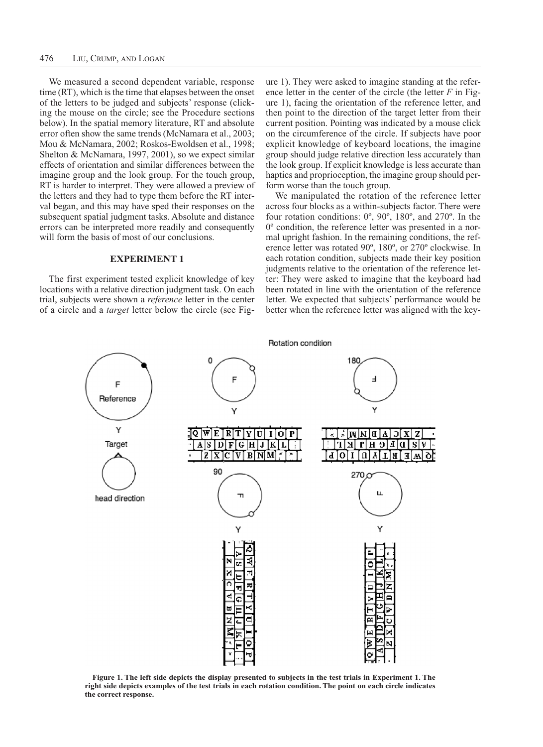We measured a second dependent variable, response time (RT), which is the time that elapses between the onset of the letters to be judged and subjects' response (clicking the mouse on the circle; see the Procedure sections below). In the spatial memory literature, RT and absolute error often show the same trends (McNamara et al., 2003; Mou & McNamara, 2002; Roskos-Ewoldsen et al., 1998; Shelton & McNamara, 1997, 2001), so we expect similar effects of orientation and similar differences between the imagine group and the look group. For the touch group, RT is harder to interpret. They were allowed a preview of the letters and they had to type them before the RT interval began, and this may have sped their responses on the subsequent spatial judgment tasks. Absolute and distance errors can be interpreted more readily and consequently will form the basis of most of our conclusions.

# **Experiment 1**

The first experiment tested explicit knowledge of key locations with a relative direction judgment task. On each trial, subjects were shown a *reference* letter in the center of a circle and a *target* letter below the circle (see Figure 1). They were asked to imagine standing at the reference letter in the center of the circle (the letter *F* in Figure 1), facing the orientation of the reference letter, and then point to the direction of the target letter from their current position. Pointing was indicated by a mouse click on the circumference of the circle. If subjects have poor explicit knowledge of keyboard locations, the imagine group should judge relative direction less accurately than the look group. If explicit knowledge is less accurate than haptics and proprioception, the imagine group should perform worse than the touch group.

We manipulated the rotation of the reference letter across four blocks as a within-subjects factor. There were four rotation conditions: 0º, 90º, 180º, and 270º. In the 0º condition, the reference letter was presented in a normal upright fashion. In the remaining conditions, the reference letter was rotated 90º, 180º, or 270º clockwise. In each rotation condition, subjects made their key position judgments relative to the orientation of the reference letter: They were asked to imagine that the keyboard had been rotated in line with the orientation of the reference letter. We expected that subjects' performance would be better when the reference letter was aligned with the key-



**Figure 1. The left side depicts the display presented to subjects in the test trials in Experiment 1. The right side depicts examples of the test trials in each rotation condition. The point on each circle indicates the correct response.**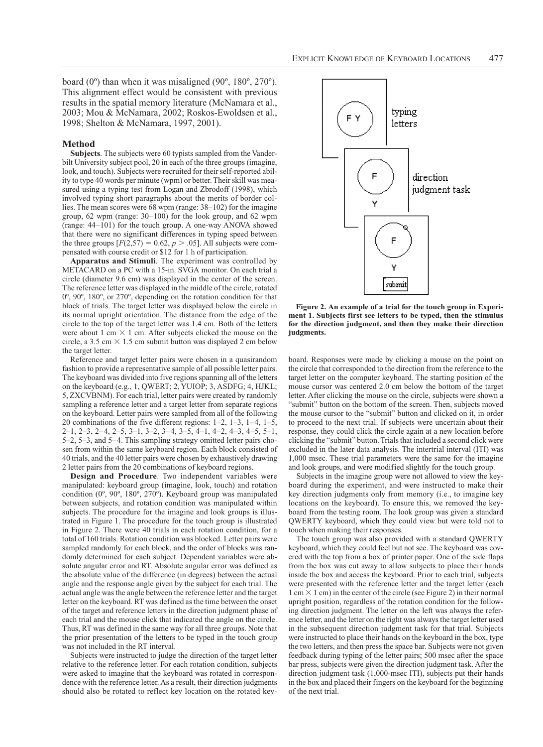board (0º) than when it was misaligned (90º, 180º, 270º). This alignment effect would be consistent with previous results in the spatial memory literature (McNamara et al., 2003; Mou & McNamara, 2002; Roskos-Ewoldsen et al., 1998; Shelton & McNamara, 1997, 2001).

## **Method**

**Subjects**. The subjects were 60 typists sampled from the Vanderbilt University subject pool, 20 in each of the three groups (imagine, look, and touch). Subjects were recruited for their self-reported ability to type 40 words per minute (wpm) or better. Their skill was measured using a typing test from Logan and Zbrodoff (1998), which involved typing short paragraphs about the merits of border collies. The mean scores were 68 wpm (range: 38–102) for the imagine group, 62 wpm (range: 30–100) for the look group, and 62 wpm (range: 44–101) for the touch group. A one-way ANOVA showed that there were no significant differences in typing speed between the three groups  $[F(2,57) = 0.62, p > .05]$ . All subjects were compensated with course credit or \$12 for 1 h of participation.

**Apparatus and Stimuli**. The experiment was controlled by METACARD on a PC with a 15-in. SVGA monitor. On each trial a circle (diameter 9.6 cm) was displayed in the center of the screen. The reference letter was displayed in the middle of the circle, rotated 0º, 90º, 180º, or 270º, depending on the rotation condition for that block of trials. The target letter was displayed below the circle in its normal upright orientation. The distance from the edge of the circle to the top of the target letter was 1.4 cm. Both of the letters were about 1 cm  $\times$  1 cm. After subjects clicked the mouse on the circle, a 3.5 cm  $\times$  1.5 cm submit button was displayed 2 cm below the target letter.

Reference and target letter pairs were chosen in a quasirandom fashion to provide a representative sample of all possible letter pairs. The keyboard was divided into five regions spanning all of the letters on the keyboard (e.g., 1, QWERT; 2, YUIOP; 3, ASDFG; 4, HJKL; 5, ZXCVBNM). For each trial, letter pairs were created by randomly sampling a reference letter and a target letter from separate regions on the keyboard. Letter pairs were sampled from all of the following 20 combinations of the five different regions: 1–2, 1–3, 1–4, 1–5, 2–1, 2–3, 2–4, 2–5, 3–1, 3–2, 3–4, 3–5, 4–1, 4–2, 4–3, 4–5, 5–1, 5–2, 5–3, and 5–4. This sampling strategy omitted letter pairs chosen from within the same keyboard region. Each block consisted of 40 trials, and the 40 letter pairs were chosen by exhaustively drawing 2 letter pairs from the 20 combinations of keyboard regions.

**Design and Procedure**. Two independent variables were manipulated: keyboard group (imagine, look, touch) and rotation condition (0º, 90º, 180º, 270º). Keyboard group was manipulated between subjects, and rotation condition was manipulated within subjects. The procedure for the imagine and look groups is illustrated in Figure 1. The procedure for the touch group is illustrated in Figure 2. There were 40 trials in each rotation condition, for a total of 160 trials. Rotation condition was blocked. Letter pairs were sampled randomly for each block, and the order of blocks was randomly determined for each subject. Dependent variables were absolute angular error and RT. Absolute angular error was defined as the absolute value of the difference (in degrees) between the actual angle and the response angle given by the subject for each trial. The actual angle was the angle between the reference letter and the target letter on the keyboard. RT was defined as the time between the onset of the target and reference letters in the direction judgment phase of each trial and the mouse click that indicated the angle on the circle. Thus, RT was defined in the same way for all three groups. Note that the prior presentation of the letters to be typed in the touch group was not included in the RT interval.

Subjects were instructed to judge the direction of the target letter relative to the reference letter. For each rotation condition, subjects were asked to imagine that the keyboard was rotated in correspondence with the reference letter. As a result, their direction judgments should also be rotated to reflect key location on the rotated key-



**Figure 2. An example of a trial for the touch group in Experiment 1. Subjects first see letters to be typed, then the stimulus for the direction judgment, and then they make their direction judgments.**

board. Responses were made by clicking a mouse on the point on the circle that corresponded to the direction from the reference to the target letter on the computer keyboard. The starting position of the mouse cursor was centered 2.0 cm below the bottom of the target letter. After clicking the mouse on the circle, subjects were shown a "submit" button on the bottom of the screen. Then, subjects moved the mouse cursor to the "submit" button and clicked on it, in order to proceed to the next trial. If subjects were uncertain about their response, they could click the circle again at a new location before clicking the "submit" button. Trials that included a second click were excluded in the later data analysis. The intertrial interval (ITI) was 1,000 msec. These trial parameters were the same for the imagine and look groups, and were modified slightly for the touch group.

Subjects in the imagine group were not allowed to view the keyboard during the experiment, and were instructed to make their key direction judgments only from memory (i.e., to imagine key locations on the keyboard). To ensure this, we removed the keyboard from the testing room. The look group was given a standard QWERTY keyboard, which they could view but were told not to touch when making their responses.

The touch group was also provided with a standard QWERTY keyboard, which they could feel but not see. The keyboard was covered with the top from a box of printer paper. One of the side flaps from the box was cut away to allow subjects to place their hands inside the box and access the keyboard. Prior to each trial, subjects were presented with the reference letter and the target letter (each  $1 \text{ cm} \times 1 \text{ cm}$ ) in the center of the circle (see Figure 2) in their normal upright position, regardless of the rotation condition for the following direction judgment. The letter on the left was always the reference letter, and the letter on the right was always the target letter used in the subsequent direction judgment task for that trial. Subjects were instructed to place their hands on the keyboard in the box, type the two letters, and then press the space bar. Subjects were not given feedback during typing of the letter pairs; 500 msec after the space bar press, subjects were given the direction judgment task. After the direction judgment task (1,000-msec ITI), subjects put their hands in the box and placed their fingers on the keyboard for the beginning of the next trial.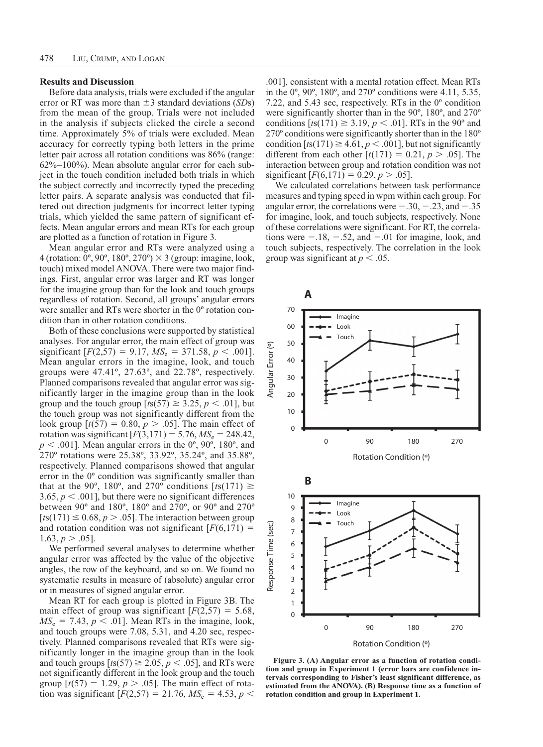## **Results and Discussion**

Before data analysis, trials were excluded if the angular error or RT was more than  $\pm 3$  standard deviations (*SDs*) from the mean of the group. Trials were not included in the analysis if subjects clicked the circle a second time. Approximately 5% of trials were excluded. Mean accuracy for correctly typing both letters in the prime letter pair across all rotation conditions was 86% (range: 62%–100%). Mean absolute angular error for each subject in the touch condition included both trials in which the subject correctly and incorrectly typed the preceding letter pairs. A separate analysis was conducted that filtered out direction judgments for incorrect letter typing trials, which yielded the same pattern of significant effects. Mean angular errors and mean RTs for each group are plotted as a function of rotation in Figure 3.

Mean angular error and RTs were analyzed using a 4 (rotation:  $0^\circ$ ,  $90^\circ$ ,  $180^\circ$ ,  $270^\circ$ )  $\times$  3 (group: imagine, look, touch) mixed model ANOVA. There were two major findings. First, angular error was larger and RT was longer for the imagine group than for the look and touch groups regardless of rotation. Second, all groups' angular errors were smaller and RTs were shorter in the 0º rotation condition than in other rotation conditions.

Both of these conclusions were supported by statistical analyses. For angular error, the main effect of group was significant  $[F(2,57) = 9.17, MS<sub>e</sub> = 371.58, p < .001]$ . Mean angular errors in the imagine, look, and touch groups were 47.41º, 27.63º, and 22.78º, respectively. Planned comparisons revealed that angular error was significantly larger in the imagine group than in the look group and the touch group  $[ts(57) \ge 3.25, p < .01]$ , but the touch group was not significantly different from the look group  $[t(57) = 0.80, p > .05]$ . The main effect of rotation was significant  $[F(3,171) = 5.76, MS_e = 248.42,$  $p < .001$ ]. Mean angular errors in the 0<sup>o</sup>, 90<sup>o</sup>, 180<sup>o</sup>, and 270º rotations were 25.38º, 33.92º, 35.24º, and 35.88º, respectively. Planned comparisons showed that angular error in the 0º condition was significantly smaller than that at the 90<sup>°</sup>, 180<sup>°</sup>, and 270<sup>°</sup> conditions  $[ts(171) \ge$ 3.65,  $p < .001$ ], but there were no significant differences between 90º and 180º, 180º and 270º, or 90º and 270º  $[ts(171) \le 0.68, p > .05]$ . The interaction between group and rotation condition was not significant  $[F(6,171) =$  $1.63, p > .05$ ].

We performed several analyses to determine whether angular error was affected by the value of the objective angles, the row of the keyboard, and so on. We found no systematic results in measure of (absolute) angular error or in measures of signed angular error.

Mean RT for each group is plotted in Figure 3B. The main effect of group was significant  $[F(2,57) = 5.68]$ ,  $MS_e = 7.43$ ,  $p < .01$ ]. Mean RTs in the imagine, look, and touch groups were 7.08, 5.31, and 4.20 sec, respectively. Planned comparisons revealed that RTs were significantly longer in the imagine group than in the look and touch groups  $[ts(57) \ge 2.05, p < .05]$ , and RTs were not significantly different in the look group and the touch group  $[t(57) = 1.29, p > .05]$ . The main effect of rotation was significant  $[F(2,57) = 21.76, MS_e = 4.53, p <$  .001], consistent with a mental rotation effect. Mean RTs in the 0º, 90º, 180º, and 270º conditions were 4.11, 5.35, 7.22, and 5.43 sec, respectively. RTs in the 0º condition were significantly shorter than in the 90º, 180º, and 270º conditions  $[ts(171) \ge 3.19, p < .01]$ . RTs in the 90<sup>°</sup> and 270º conditions were significantly shorter than in the 180º condition  $[ts(171) \ge 4.61, p < .001]$ , but not significantly different from each other  $[t(171) = 0.21, p > .05]$ . The interaction between group and rotation condition was not significant  $[F(6,171) = 0.29, p > .05]$ .

We calculated correlations between task performance measures and typing speed in wpm within each group. For angular error, the correlations were  $-.30, -.23,$  and  $-.35$ for imagine, look, and touch subjects, respectively. None of these correlations were significant. For RT, the correlations were  $-.18, -.52,$  and  $-.01$  for imagine, look, and touch subjects, respectively. The correlation in the look group was significant at  $p < .05$ .



**Figure 3. (A) Angular error as a function of rotation condition and group in Experiment 1 (error bars are confidence intervals corresponding to Fisher's least significant difference, as estimated from the ANOVA). (B) Response time as a function of rotation condition and group in Experiment 1.**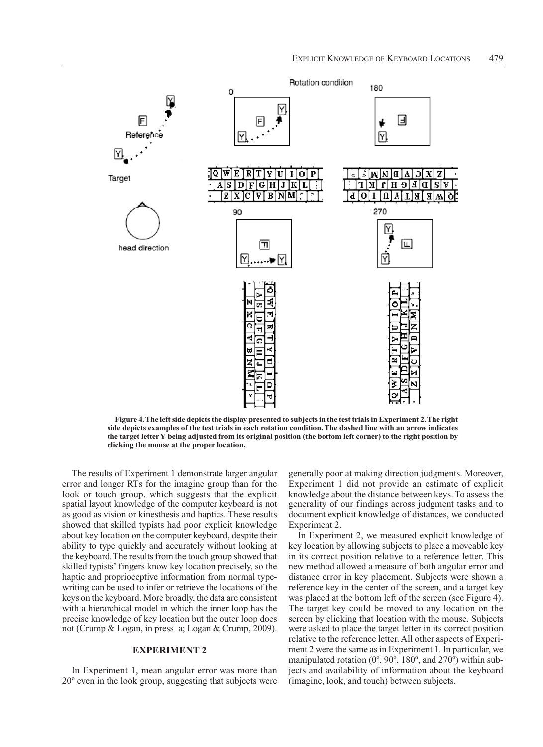

**Figure 4. The left side depicts the display presented to subjects in the test trials in Experiment 2. The right side depicts examples of the test trials in each rotation condition. The dashed line with an arrow indicates the target letter Y being adjusted from its original position (the bottom left corner) to the right position by clicking the mouse at the proper location.**

The results of Experiment 1 demonstrate larger angular error and longer RTs for the imagine group than for the look or touch group, which suggests that the explicit spatial layout knowledge of the computer keyboard is not as good as vision or kinesthesis and haptics. These results showed that skilled typists had poor explicit knowledge about key location on the computer keyboard, despite their ability to type quickly and accurately without looking at the keyboard. The results from the touch group showed that skilled typists' fingers know key location precisely, so the haptic and proprioceptive information from normal typewriting can be used to infer or retrieve the locations of the keys on the keyboard. More broadly, the data are consistent with a hierarchical model in which the inner loop has the precise knowledge of key location but the outer loop does not (Crump & Logan, in press–a; Logan & Crump, 2009).

### **Experiment 2**

In Experiment 1, mean angular error was more than 20º even in the look group, suggesting that subjects were

generally poor at making direction judgments. Moreover, Experiment 1 did not provide an estimate of explicit knowledge about the distance between keys. To assess the generality of our findings across judgment tasks and to document explicit knowledge of distances, we conducted Experiment 2.

In Experiment 2, we measured explicit knowledge of key location by allowing subjects to place a moveable key in its correct position relative to a reference letter. This new method allowed a measure of both angular error and distance error in key placement. Subjects were shown a reference key in the center of the screen, and a target key was placed at the bottom left of the screen (see Figure 4). The target key could be moved to any location on the screen by clicking that location with the mouse. Subjects were asked to place the target letter in its correct position relative to the reference letter. All other aspects of Experiment 2 were the same as in Experiment 1. In particular, we manipulated rotation (0º, 90º, 180º, and 270º) within subjects and availability of information about the keyboard (imagine, look, and touch) between subjects.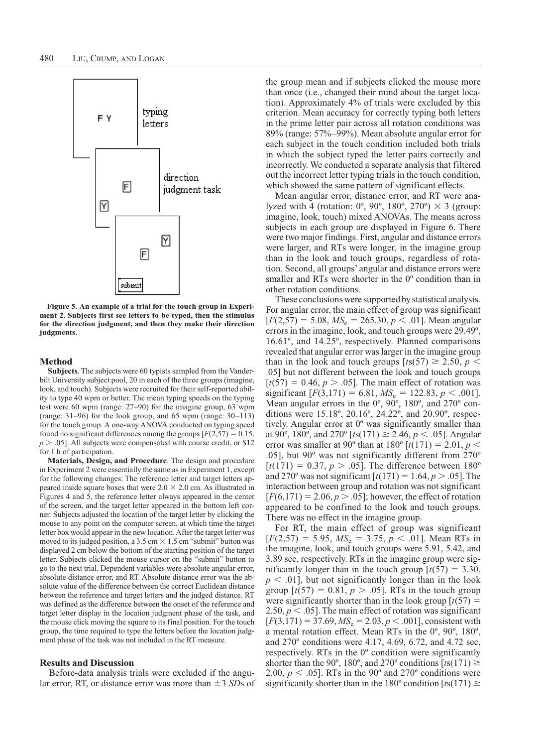

**Figure 5. An example of a trial for the touch group in Experiment 2. Subjects first see letters to be typed, then the stimulus for the direction judgment, and then they make their direction judgments.**

#### **Method**

**Subjects**. The subjects were 60 typists sampled from the Vanderbilt University subject pool, 20 in each of the three groups (imagine, look, and touch). Subjects were recruited for their self-reported ability to type 40 wpm or better. The mean typing speeds on the typing test were 60 wpm (range: 27–90) for the imagine group, 63 wpm (range: 31–96) for the look group, and 65 wpm (range: 30–113) for the touch group. A one-way ANOVA conducted on typing speed found no significant differences among the groups  $[F(2,57) = 0.15,$  $p > .05$ . All subjects were compensated with course credit, or \$12 for 1 h of participation.

**Materials, Design, and Procedure**. The design and procedure in Experiment 2 were essentially the same as in Experiment 1, except for the following changes: The reference letter and target letters appeared inside square boxes that were  $2.0 \times 2.0$  cm. As illustrated in Figures 4 and 5, the reference letter always appeared in the center of the screen, and the target letter appeared in the bottom left corner. Subjects adjusted the location of the target letter by clicking the mouse to any point on the computer screen, at which time the target letter box would appear in the new location. After the target letter was moved to its judged position, a 3.5 cm  $\times$  1.5 cm "submit" button was displayed 2 cm below the bottom of the starting position of the target letter. Subjects clicked the mouse cursor on the "submit" button to go to the next trial. Dependent variables were absolute angular error, absolute distance error, and RT. Absolute distance error was the absolute value of the difference between the correct Euclidean distance between the reference and target letters and the judged distance. RT was defined as the difference between the onset of the reference and target letter display in the location judgment phase of the task, and the mouse click moving the square to its final position. For the touch group, the time required to type the letters before the location judgment phase of the task was not included in the RT measure.

# **Results and Discussion**

Before-data analysis trials were excluded if the angular error, RT, or distance error was more than  $\pm 3$  *SDs* of the group mean and if subjects clicked the mouse more than once (i.e., changed their mind about the target location). Approximately 4% of trials were excluded by this criterion. Mean accuracy for correctly typing both letters in the prime letter pair across all rotation conditions was 89% (range: 57%–99%). Mean absolute angular error for each subject in the touch condition included both trials in which the subject typed the letter pairs correctly and incorrectly. We conducted a separate analysis that filtered out the incorrect letter typing trials in the touch condition, which showed the same pattern of significant effects.

Mean angular error, distance error, and RT were analyzed with 4 (rotation:  $0^\circ$ ,  $90^\circ$ ,  $180^\circ$ ,  $270^\circ$ )  $\times$  3 (group: imagine, look, touch) mixed ANOVAs. The means across subjects in each group are displayed in Figure 6. There were two major findings. First, angular and distance errors were larger, and RTs were longer, in the imagine group than in the look and touch groups, regardless of rotation. Second, all groups' angular and distance errors were smaller and RTs were shorter in the 0<sup>°</sup> condition than in other rotation conditions.

These conclusions were supported by statistical analysis. For angular error, the main effect of group was significant  $[F(2,57) = 5.08, MS_e = 265.30, p < .01]$ . Mean angular errors in the imagine, look, and touch groups were 29.49º, 16.61º, and 14.25º, respectively. Planned comparisons revealed that angular error was larger in the imagine group than in the look and touch groups  $[ts(57) \ge 2.50, p <$ .05] but not different between the look and touch groups  $[t(57) = 0.46, p > .05]$ . The main effect of rotation was significant  $[F(3,171) = 6.81, MS_e = 122.83, p < .001]$ . Mean angular errors in the 0º, 90º, 180º, and 270º conditions were 15.18º, 20.16º, 24.22º, and 20.90º, respectively. Angular error at 0º was significantly smaller than at 90°, 180°, and 270° [ts(171)  $\geq$  2.46,  $p < .05$ ]. Angular error was smaller at 90<sup>°</sup> than at 180<sup>°</sup>  $[t(171) = 2.01, p <$ .05], but 90º was not significantly different from 270º  $[t(171) = 0.37, p > .05]$ . The difference between 180<sup>o</sup> and 270° was not significant  $[t(171) = 1.64, p > .05]$ . The interaction between group and rotation was not significant  $[F(6,171) = 2.06, p > .05]$ ; however, the effect of rotation appeared to be confined to the look and touch groups. There was no effect in the imagine group.

For RT, the main effect of group was significant  $[F(2,57) = 5.95, MS_e = 3.75, p < .01]$ . Mean RTs in the imagine, look, and touch groups were 5.91, 5.42, and 3.89 sec, respectively. RTs in the imagine group were significantly longer than in the touch group  $[t(57) = 3.30]$ ,  $p < .01$ ], but not significantly longer than in the look group  $[t(57) = 0.81, p > .05]$ . RTs in the touch group were significantly shorter than in the look group  $[t(57) =$ 2.50,  $p < .05$ ]. The main effect of rotation was significant  $[F(3,171) = 37.69, MS_e = 2.03, p < .001]$ , consistent with a mental rotation effect. Mean RTs in the 0º, 90º, 180º, and 270º conditions were 4.17, 4.69, 6.72, and 4.72 sec, respectively. RTs in the 0º condition were significantly shorter than the 90<sup>°</sup>, 180<sup>°</sup>, and 270<sup>°</sup> conditions [ts(171)  $\ge$ 2.00,  $p < .05$ ]. RTs in the 90<sup>°</sup> and 270<sup>°</sup> conditions were significantly shorter than in the 180<sup>°</sup> condition  $[ts(171) \ge$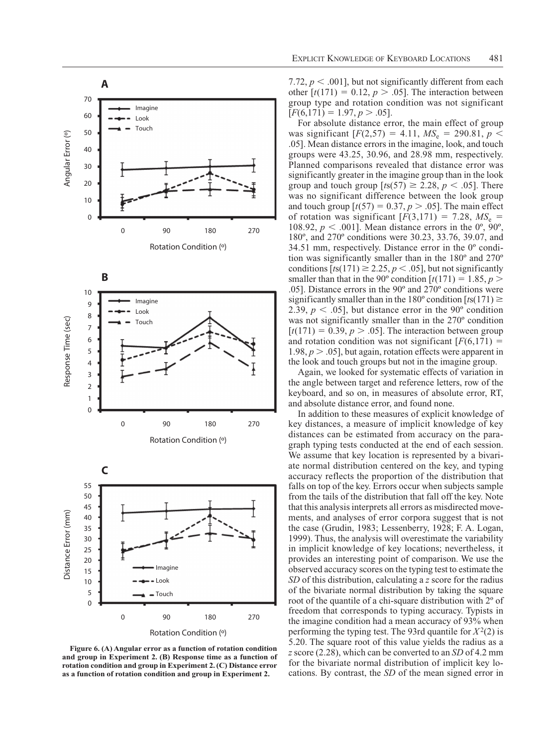

**Figure 6. (A) Angular error as a function of rotation condition and group in Experiment 2. (B) Response time as a function of rotation condition and group in Experiment 2. (C) Distance error as a function of rotation condition and group in Experiment 2.**

7.72,  $p < .001$ ], but not significantly different from each other  $[t(171) = 0.12, p > .05]$ . The interaction between group type and rotation condition was not significant  $[F(6,171) = 1.97, p > .05].$ 

For absolute distance error, the main effect of group was significant  $[F(2,57) = 4.11, MS<sub>e</sub> = 290.81, p <$ .05]. Mean distance errors in the imagine, look, and touch groups were 43.25, 30.96, and 28.98 mm, respectively. Planned comparisons revealed that distance error was significantly greater in the imagine group than in the look group and touch group  $[ts(57) \ge 2.28, p < .05]$ . There was no significant difference between the look group and touch group  $[t(57) = 0.37, p > .05]$ . The main effect of rotation was significant  $[F(3,171) = 7.28, MS_e =$ 108.92,  $p < .001$ ]. Mean distance errors in the 0<sup>o</sup>, 90<sup>o</sup>, 180º, and 270º conditions were 30.23, 33.76, 39.07, and 34.51 mm, respectively. Distance error in the 0º condition was significantly smaller than in the 180º and 270º conditions  $[ts(171) \ge 2.25, p < .05]$ , but not significantly smaller than that in the 90° condition  $[t(171) = 1.85, p >$ .05]. Distance errors in the 90º and 270º conditions were significantly smaller than in the 180<sup>°</sup> condition  $[ts(171) \ge$ 2.39,  $p < .05$ ], but distance error in the 90 $^{\circ}$  condition was not significantly smaller than in the 270º condition  $[t(171) = 0.39, p > .05]$ . The interaction between group and rotation condition was not significant  $[F(6,171) =$ 1.98,  $p > .05$ ], but again, rotation effects were apparent in the look and touch groups but not in the imagine group.

Again, we looked for systematic effects of variation in the angle between target and reference letters, row of the keyboard, and so on, in measures of absolute error, RT, and absolute distance error, and found none.

In addition to these measures of explicit knowledge of key distances, a measure of implicit knowledge of key distances can be estimated from accuracy on the paragraph typing tests conducted at the end of each session. We assume that key location is represented by a bivariate normal distribution centered on the key, and typing accuracy reflects the proportion of the distribution that falls on top of the key. Errors occur when subjects sample from the tails of the distribution that fall off the key. Note that this analysis interprets all errors as misdirected movements, and analyses of error corpora suggest that is not the case (Grudin, 1983; Lessenberry, 1928; F. A. Logan, 1999). Thus, the analysis will overestimate the variability in implicit knowledge of key locations; nevertheless, it provides an interesting point of comparison. We use the observed accuracy scores on the typing test to estimate the *SD* of this distribution, calculating a *z* score for the radius of the bivariate normal distribution by taking the square root of the quantile of a chi-square distribution with 2º of freedom that corresponds to typing accuracy. Typists in the imagine condition had a mean accuracy of 93% when performing the typing test. The 93rd quantile for  $X^2(2)$  is 5.20. The square root of this value yields the radius as a *z* score (2.28), which can be converted to an *SD* of 4.2 mm for the bivariate normal distribution of implicit key locations. By contrast, the *SD* of the mean signed error in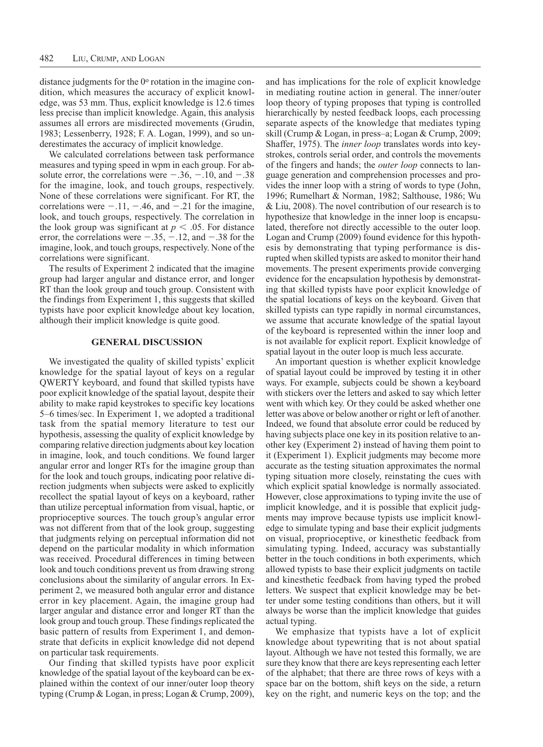distance judgments for the  $0^{\circ}$  rotation in the imagine condition, which measures the accuracy of explicit knowledge, was 53 mm. Thus, explicit knowledge is 12.6 times less precise than implicit knowledge. Again, this analysis assumes all errors are misdirected movements (Grudin, 1983; Lessenberry, 1928; F. A. Logan, 1999), and so underestimates the accuracy of implicit knowledge.

We calculated correlations between task performance measures and typing speed in wpm in each group. For absolute error, the correlations were  $-.36, -.10,$  and  $-.38$ for the imagine, look, and touch groups, respectively. None of these correlations were significant. For RT, the correlations were  $-.11, -.46, and -.21$  for the imagine, look, and touch groups, respectively. The correlation in the look group was significant at  $p < .05$ . For distance error, the correlations were  $-.35, -.12,$  and  $-.38$  for the imagine, look, and touch groups, respectively. None of the correlations were significant.

The results of Experiment 2 indicated that the imagine group had larger angular and distance error, and longer RT than the look group and touch group. Consistent with the findings from Experiment 1, this suggests that skilled typists have poor explicit knowledge about key location, although their implicit knowledge is quite good.

# **General Discussion**

We investigated the quality of skilled typists' explicit knowledge for the spatial layout of keys on a regular QWERTY keyboard, and found that skilled typists have poor explicit knowledge of the spatial layout, despite their ability to make rapid keystrokes to specific key locations 5–6 times/sec. In Experiment 1, we adopted a traditional task from the spatial memory literature to test our hypothesis, assessing the quality of explicit knowledge by comparing relative direction judgments about key location in imagine, look, and touch conditions. We found larger angular error and longer RTs for the imagine group than for the look and touch groups, indicating poor relative direction judgments when subjects were asked to explicitly recollect the spatial layout of keys on a keyboard, rather than utilize perceptual information from visual, haptic, or proprioceptive sources. The touch group's angular error was not different from that of the look group, suggesting that judgments relying on perceptual information did not depend on the particular modality in which information was received. Procedural differences in timing between look and touch conditions prevent us from drawing strong conclusions about the similarity of angular errors. In Experiment 2, we measured both angular error and distance error in key placement. Again, the imagine group had larger angular and distance error and longer RT than the look group and touch group. These findings replicated the basic pattern of results from Experiment 1, and demonstrate that deficits in explicit knowledge did not depend on particular task requirements.

Our finding that skilled typists have poor explicit knowledge of the spatial layout of the keyboard can be explained within the context of our inner/outer loop theory typing (Crump & Logan, in press; Logan & Crump, 2009),

and has implications for the role of explicit knowledge in mediating routine action in general. The inner/outer loop theory of typing proposes that typing is controlled hierarchically by nested feedback loops, each processing separate aspects of the knowledge that mediates typing skill (Crump & Logan, in press–a; Logan & Crump, 2009; Shaffer, 1975). The *inner loop* translates words into keystrokes, controls serial order, and controls the movements of the fingers and hands; the *outer loop* connects to language generation and comprehension processes and provides the inner loop with a string of words to type (John, 1996; Rumelhart & Norman, 1982; Salthouse, 1986; Wu & Liu, 2008). The novel contribution of our research is to hypothesize that knowledge in the inner loop is encapsulated, therefore not directly accessible to the outer loop. Logan and Crump (2009) found evidence for this hypothesis by demonstrating that typing performance is disrupted when skilled typists are asked to monitor their hand movements. The present experiments provide converging evidence for the encapsulation hypothesis by demonstrating that skilled typists have poor explicit knowledge of the spatial locations of keys on the keyboard. Given that skilled typists can type rapidly in normal circumstances, we assume that accurate knowledge of the spatial layout of the keyboard is represented within the inner loop and is not available for explicit report. Explicit knowledge of spatial layout in the outer loop is much less accurate.

An important question is whether explicit knowledge of spatial layout could be improved by testing it in other ways. For example, subjects could be shown a keyboard with stickers over the letters and asked to say which letter went with which key. Or they could be asked whether one letter was above or below another or right or left of another. Indeed, we found that absolute error could be reduced by having subjects place one key in its position relative to another key (Experiment 2) instead of having them point to it (Experiment 1). Explicit judgments may become more accurate as the testing situation approximates the normal typing situation more closely, reinstating the cues with which explicit spatial knowledge is normally associated. However, close approximations to typing invite the use of implicit knowledge, and it is possible that explicit judgments may improve because typists use implicit knowledge to simulate typing and base their explicit judgments on visual, proprioceptive, or kinesthetic feedback from simulating typing. Indeed, accuracy was substantially better in the touch conditions in both experiments, which allowed typists to base their explicit judgments on tactile and kinesthetic feedback from having typed the probed letters. We suspect that explicit knowledge may be better under some testing conditions than others, but it will always be worse than the implicit knowledge that guides actual typing.

We emphasize that typists have a lot of explicit knowledge about typewriting that is not about spatial layout. Although we have not tested this formally, we are sure they know that there are keys representing each letter of the alphabet; that there are three rows of keys with a space bar on the bottom, shift keys on the side, a return key on the right, and numeric keys on the top; and the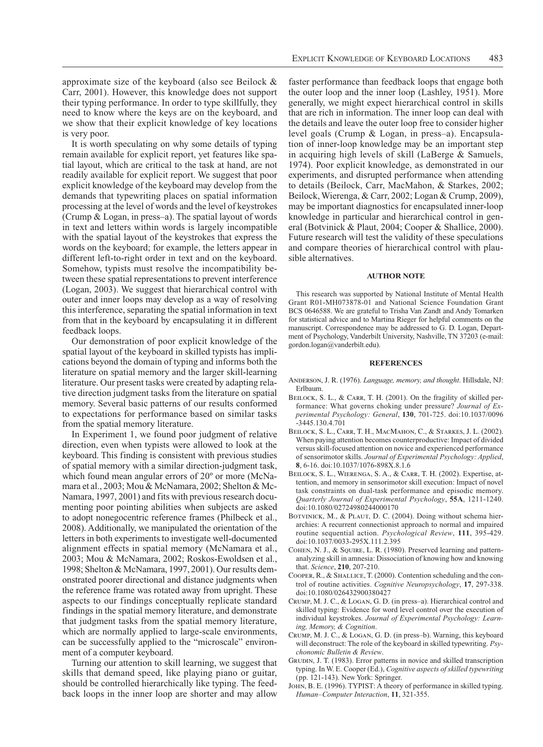approximate size of the keyboard (also see Beilock & Carr, 2001). However, this knowledge does not support their typing performance. In order to type skillfully, they need to know where the keys are on the keyboard, and we show that their explicit knowledge of key locations is very poor.

It is worth speculating on why some details of typing remain available for explicit report, yet features like spatial layout, which are critical to the task at hand, are not readily available for explicit report. We suggest that poor explicit knowledge of the keyboard may develop from the demands that typewriting places on spatial information processing at the level of words and the level of keystrokes (Crump & Logan, in press–a). The spatial layout of words in text and letters within words is largely incompatible with the spatial layout of the keystrokes that express the words on the keyboard; for example, the letters appear in different left-to-right order in text and on the keyboard. Somehow, typists must resolve the incompatibility between these spatial representations to prevent interference (Logan, 2003). We suggest that hierarchical control with outer and inner loops may develop as a way of resolving this interference, separating the spatial information in text from that in the keyboard by encapsulating it in different feedback loops.

Our demonstration of poor explicit knowledge of the spatial layout of the keyboard in skilled typists has implications beyond the domain of typing and informs both the literature on spatial memory and the larger skill-learning literature. Our present tasks were created by adapting relative direction judgment tasks from the literature on spatial memory. Several basic patterns of our results conformed to expectations for performance based on similar tasks from the spatial memory literature.

In Experiment 1, we found poor judgment of relative direction, even when typists were allowed to look at the keyboard. This finding is consistent with previous studies of spatial memory with a similar direction-judgment task, which found mean angular errors of 20º or more (McNamara et al., 2003; Mou & McNamara, 2002; Shelton & Mc-Namara, 1997, 2001) and fits with previous research documenting poor pointing abilities when subjects are asked to adopt nonegocentric reference frames (Philbeck et al., 2008). Additionally, we manipulated the orientation of the letters in both experiments to investigate well-documented alignment effects in spatial memory (McNamara et al., 2003; Mou & McNamara, 2002; Roskos-Ewoldsen et al., 1998; Shelton & McNamara, 1997, 2001). Our results demonstrated poorer directional and distance judgments when the reference frame was rotated away from upright. These aspects to our findings conceptually replicate standard findings in the spatial memory literature, and demonstrate that judgment tasks from the spatial memory literature, which are normally applied to large-scale environments, can be successfully applied to the "microscale" environment of a computer keyboard.

Turning our attention to skill learning, we suggest that skills that demand speed, like playing piano or guitar, should be controlled hierarchically like typing. The feedback loops in the inner loop are shorter and may allow

faster performance than feedback loops that engage both the outer loop and the inner loop (Lashley, 1951). More generally, we might expect hierarchical control in skills that are rich in information. The inner loop can deal with the details and leave the outer loop free to consider higher level goals (Crump & Logan, in press–a). Encapsulation of inner-loop knowledge may be an important step in acquiring high levels of skill (LaBerge & Samuels, 1974). Poor explicit knowledge, as demonstrated in our experiments, and disrupted performance when attending to details (Beilock, Carr, MacMahon, & Starkes, 2002; Beilock, Wierenga, & Carr, 2002; Logan & Crump, 2009), may be important diagnostics for encapsulated inner-loop knowledge in particular and hierarchical control in general (Botvinick & Plaut, 2004; Cooper & Shallice, 2000). Future research will test the validity of these speculations and compare theories of hierarchical control with plausible alternatives.

#### **Author Note**

This research was supported by National Institute of Mental Health Grant R01-MH073878-01 and National Science Foundation Grant BCS 0646588. We are grateful to Trisha Van Zandt and Andy Tomarken for statistical advice and to Martina Rieger for helpful comments on the manuscript. Correspondence may be addressed to G. D. Logan, Department of Psychology, Vanderbilt University, Nashville, TN 37203 (e-mail: gordon.logan@vanderbilt.edu).

#### **References**

- Anderson, J. R. (1976). *Language, memory, and thought*. Hillsdale, NJ: Erlbaum.
- BEILOCK, S. L., & CARR, T. H. (2001). On the fragility of skilled performance: What governs choking under pressure? *Journal of Experimental Psychology: General*, **130**, 701-725. doi:10.1037/0096 -3445.130.4.701
- Beilock, S. L., Carr, T. H., MacMahon, C., & Starkes, J. L. (2002). When paying attention becomes counterproductive: Impact of divided versus skill-focused attention on novice and experienced performance of sensorimotor skills. *Journal of Experimental Psychology: Applied*, **8**, 6-16. doi:10.1037/1076-898X.8.1.6
- Beilock, S. L., Wierenga, S. A., & Carr, T. H. (2002). Expertise, attention, and memory in sensorimotor skill execution: Impact of novel task constraints on dual-task performance and episodic memory. *Quarterly Journal of Experimental Psychology*, **55A**, 1211-1240. doi:10.1080/02724980244000170
- BOTVINICK, M., & PLAUT, D. C. (2004). Doing without schema hierarchies: A recurrent connectionist approach to normal and impaired routine sequential action. *Psychological Review*, **111**, 395-429. doi:10.1037/0033-295X.111.2.395
- Cohen, N. J., & Squire, L. R. (1980). Preserved learning and patternanalyzing skill in amnesia: Dissociation of knowing how and knowing that. *Science*, **210**, 207-210.
- Cooper, R., & Shallice, T. (2000). Contention scheduling and the control of routine activities. *Cognitive Neuropsychology*, **17**, 297-338. doi:10.1080/026432900380427
- Crump, M. J. C., & Logan, G. D. (in press–a). Hierarchical control and skilled typing: Evidence for word level control over the execution of individual keystrokes. *Journal of Experimental Psychology: Learning, Memory, & Cognition*.
- Crump, M. J. C., & Logan, G. D. (in press–b). Warning, this keyboard will deconstruct: The role of the keyboard in skilled typewriting. *Psychonomic Bulletin & Review*.
- Grudin, J. T. (1983). Error patterns in novice and skilled transcription typing. In W. E. Cooper (Ed.), *Cognitive aspects of skilled typewriting* (pp. 121-143). New York: Springer.
- John, B. E. (1996). TYPIST: A theory of performance in skilled typing. *Human–Computer Interaction*, **11**, 321-355.